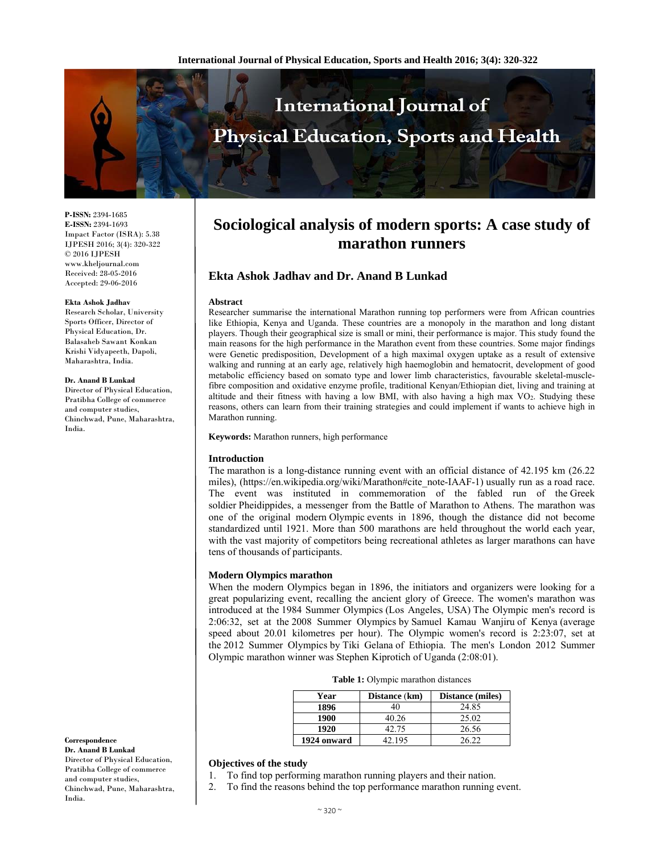

**P-ISSN:** 2394-1685 **E-ISSN:** 2394-1693 Impact Factor (ISRA): 5.38 IJPESH 2016; 3(4): 320-322 © 2016 IJPESH www.kheljournal.com Received: 28-05-2016 Accepted: 29-06-2016

#### **Ekta Ashok Jadhav**

Research Scholar, University Sports Officer, Director of Physical Education, Dr. Balasaheb Sawant Konkan Krishi Vidyapeeth, Dapoli, Maharashtra, India.

#### **Dr. Anand B Lunkad**

Director of Physical Education, Pratibha College of commerce and computer studies, Chinchwad, Pune, Maharashtra, India.

**Correspondence**

**Dr. Anand B Lunkad**  Director of Physical Education, Pratibha College of commerce and computer studies, Chinchwad, Pune, Maharashtra, India.

# **Sociological analysis of modern sports: A case study of marathon runners**

# **Ekta Ashok Jadhav and Dr. Anand B Lunkad**

### **Abstract**

Researcher summarise the international Marathon running top performers were from African countries like Ethiopia, Kenya and Uganda. These countries are a monopoly in the marathon and long distant players. Though their geographical size is small or mini, their performance is major. This study found the main reasons for the high performance in the Marathon event from these countries. Some major findings were Genetic predisposition, Development of a high maximal oxygen uptake as a result of extensive walking and running at an early age, relatively high haemoglobin and hematocrit, development of good metabolic efficiency based on somato type and lower limb characteristics, favourable skeletal-musclefibre composition and oxidative enzyme profile, traditional Kenyan/Ethiopian diet, living and training at altitude and their fitness with having a low BMI, with also having a high max VO2. Studying these reasons, others can learn from their training strategies and could implement if wants to achieve high in Marathon running.

**Keywords:** Marathon runners, high performance

## **Introduction**

The marathon is a long-distance running event with an official distance of 42.195 km (26.22 miles), (https://en.wikipedia.org/wiki/Marathon#cite\_note-IAAF-1) usually run as a road race. The event was instituted in commemoration of the fabled run of the Greek soldier Pheidippides, a messenger from the Battle of Marathon to Athens. The marathon was one of the original modern Olympic events in 1896, though the distance did not become standardized until 1921. More than 500 marathons are held throughout the world each year, with the vast majority of competitors being recreational athletes as larger marathons can have tens of thousands of participants.

## **Modern Olympics marathon**

When the modern Olympics began in 1896, the initiators and organizers were looking for a great popularizing event, recalling the ancient glory of Greece. The women's marathon was introduced at the 1984 Summer Olympics (Los Angeles, USA) The Olympic men's record is 2:06:32, set at the 2008 Summer Olympics by Samuel Kamau Wanjiru of Kenya (average speed about 20.01 kilometres per hour). The Olympic women's record is 2:23:07, set at the 2012 Summer Olympics by Tiki Gelana of Ethiopia. The men's London 2012 Summer Olympic marathon winner was Stephen Kiprotich of Uganda (2:08:01).

|  |  | <b>Table 1:</b> Olympic marathon distances |  |
|--|--|--------------------------------------------|--|
|  |  |                                            |  |

| Year        | Distance (km) | Distance (miles) |
|-------------|---------------|------------------|
| 1896        | 40            | 24.85            |
| 1900        | 40.26         | 25.02            |
| 1920        | 42.75         | 26.56            |
| 1924 onward | 42.195        | 26.22            |

# **Objectives of the study**

- 1. To find top performing marathon running players and their nation.
- 2. To find the reasons behind the top performance marathon running event.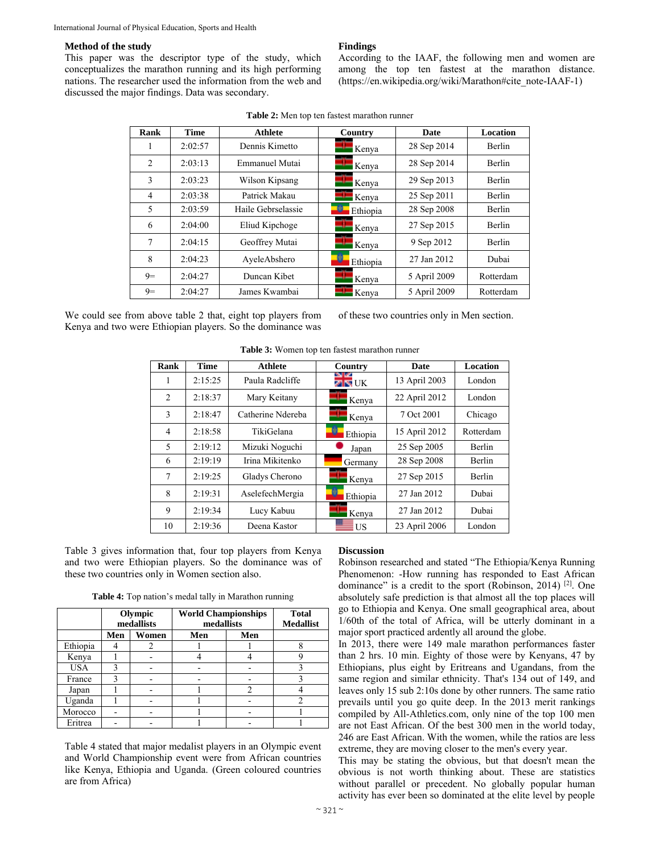# **Method of the study**

This paper was the descriptor type of the study, which conceptualizes the marathon running and its high performing nations. The researcher used the information from the web and discussed the major findings. Data was secondary.

## **Findings**

According to the IAAF, the following men and women are among the top ten fastest at the marathon distance. (https://en.wikipedia.org/wiki/Marathon#cite\_note-IAAF-1)

| Rank           | <b>Time</b> | <b>Athlete</b>     | Country              | Date         | Location      |
|----------------|-------------|--------------------|----------------------|--------------|---------------|
| 1              | 2:02:57     | Dennis Kimetto     | $\blacksquare$ Kenya | 28 Sep 2014  | <b>Berlin</b> |
| $\overline{2}$ | 2:03:13     | Emmanuel Mutai     | Kenya                | 28 Sep 2014  | Berlin        |
| 3              | 2:03:23     | Wilson Kipsang     | $\blacksquare$ Kenya | 29 Sep 2013  | <b>Berlin</b> |
| $\overline{4}$ | 2:03:38     | Patrick Makau      | $K$ enya             | 25 Sep 2011  | <b>Berlin</b> |
| 5              | 2:03:59     | Haile Gebrselassie | Ethiopia             | 28 Sep 2008  | <b>Berlin</b> |
| 6              | 2:04:00     | Eliud Kipchoge     | Kenya                | 27 Sep 2015  | <b>Berlin</b> |
| 7              | 2:04:15     | Geoffrey Mutai     | $\blacksquare$ Kenya | 9 Sep 2012   | <b>Berlin</b> |
| 8              | 2:04:23     | AyeleAbshero       | Ethiopia             | 27 Jan 2012  | Dubai         |
| $9=$           | 2:04:27     | Duncan Kibet       | Kenya                | 5 April 2009 | Rotterdam     |
| $9=$           | 2:04:27     | James Kwambai      | Kenya                | 5 April 2009 | Rotterdam     |

|  | <b>Table 2:</b> Men top ten fastest marathon runner |
|--|-----------------------------------------------------|
|--|-----------------------------------------------------|

We could see from above table 2 that, eight top players from Kenya and two were Ethiopian players. So the dominance was

of these two countries only in Men section.

| Rank | <b>Time</b> | <b>Athlete</b>    | Country              | Date          | <b>Location</b> |
|------|-------------|-------------------|----------------------|---------------|-----------------|
| 1    | 2:15:25     | Paula Radcliffe   | <b>ZIKE</b> UK       | 13 April 2003 | London          |
| 2    | 2:18:37     | Mary Keitany      | Kenya                | 22 April 2012 | London          |
| 3    | 2:18:47     | Catherine Ndereba | $\blacksquare$ Kenya | 7 Oct 2001    | Chicago         |
| 4    | 2:18:58     | TikiGelana        | Ethiopia             | 15 April 2012 | Rotterdam       |
| 5    | 2:19:12     | Mizuki Noguchi    | Japan                | 25 Sep 2005   | Berlin          |
| 6    | 2:19:19     | Irina Mikitenko   | Germany              | 28 Sep 2008   | Berlin          |
| 7    | 2:19:25     | Gladys Cherono    | Kenya                | 27 Sep 2015   | Berlin          |
| 8    | 2:19:31     | AselefechMergia   | Ethiopia             | 27 Jan 2012   | Dubai           |
| 9    | 2:19:34     | Lucy Kabuu        | Kenya                | 27 Jan 2012   | Dubai           |
| 10   | 2:19:36     | Deena Kastor      | US                   | 23 April 2006 | London          |

**Table 3:** Women top ten fastest marathon runner

Table 3 gives information that, four top players from Kenya and two were Ethiopian players. So the dominance was of these two countries only in Women section also.

**Table 4:** Top nation's medal tally in Marathon running

|            | Olympic<br>medallists |       | <b>World Championships</b><br>medallists | <b>Total</b><br><b>Medallist</b> |  |
|------------|-----------------------|-------|------------------------------------------|----------------------------------|--|
|            | Men                   | Women | Men                                      | Men                              |  |
| Ethiopia   |                       |       |                                          |                                  |  |
| Kenya      |                       |       |                                          |                                  |  |
| <b>USA</b> | 3                     |       |                                          |                                  |  |
| France     | 3                     |       |                                          |                                  |  |
| Japan      |                       |       |                                          | $\mathcal{L}$                    |  |
| Uganda     |                       |       |                                          |                                  |  |
| Morocco    |                       |       |                                          |                                  |  |
| Eritrea    |                       |       |                                          |                                  |  |

Table 4 stated that major medalist players in an Olympic event and World Championship event were from African countries like Kenya, Ethiopia and Uganda. (Green coloured countries are from Africa)

### **Discussion**

Robinson researched and stated "The Ethiopia/Kenya Running Phenomenon: -How running has responded to East African dominance" is a credit to the sport (Robinson, 2014)<sup>[2]</sup>. One absolutely safe prediction is that almost all the top places will go to Ethiopia and Kenya. One small geographical area, about 1/60th of the total of Africa, will be utterly dominant in a major sport practiced ardently all around the globe.

In 2013, there were 149 male marathon performances faster than 2 hrs. 10 min. Eighty of those were by Kenyans, 47 by Ethiopians, plus eight by Eritreans and Ugandans, from the same region and similar ethnicity. That's 134 out of 149, and leaves only 15 sub 2:10s done by other runners. The same ratio prevails until you go quite deep. In the 2013 merit rankings compiled by All-Athletics.com, only nine of the top 100 men are not East African. Of the best 300 men in the world today, 246 are East African. With the women, while the ratios are less extreme, they are moving closer to the men's every year.

This may be stating the obvious, but that doesn't mean the obvious is not worth thinking about. These are statistics without parallel or precedent. No globally popular human activity has ever been so dominated at the elite level by people